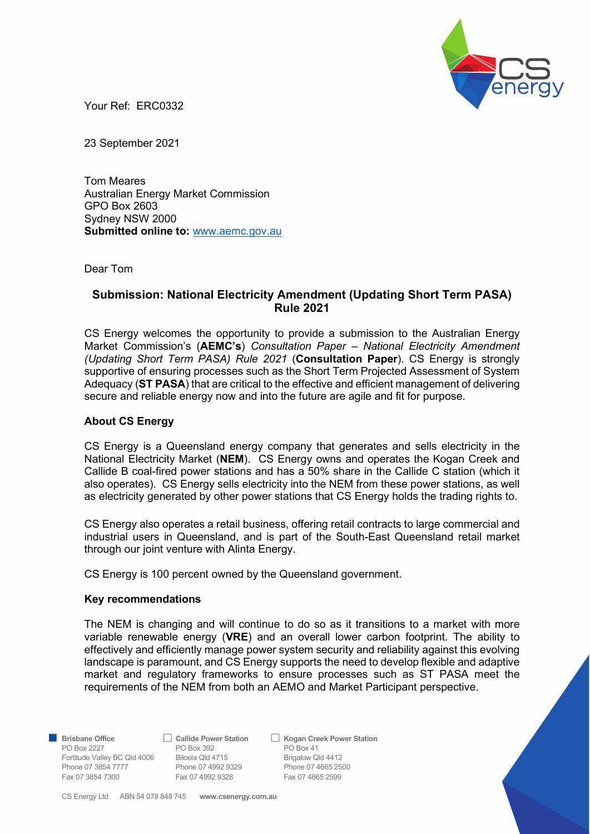

Your Ref: ERC0332

23 September 2021

Tom Meares Australian Energy Market Commission GPO Box 2603 Sydney NSW 2000 Submitted online to: www.aemc.gov.au

Dear Tom

# Submission: National Electricity Amendment (Updating Short Term PASA) Rule 2021

CS Energy welcomes the opportunity to provide a submission to the Australian Energy Market Commission's (AEMC's) Consultation Paper - National Electricity Amendment (Updating Short Term PASA) Rule 2021 (Consultation Paper). CS Energy is strongly supportive of ensuring processes such as the Short Term Projected Assessment of System Adequacy (ST PASA) that are critical to the effective and efficient management of delivering secure and reliable energy now and into the future are agile and fit for purpose.

### About CS Energy

CS Energy is a Queensland energy company that generates and sells electricity in the National Electricity Market (NEM). CS Energy owns and operates the Kogan Creek and Callide B coal-fired power stations and has a 50% share in the Callide C station (which it also operates). CS Energy sells electricity into the NEM from these power stations, as well as electricity generated by other power stations that CS Energy holds the trading rights to.

CS Energy also operates a retail business, offering retail contracts to large commercial and industrial users in Queensland, and is part of the South-East Queensland retail market through our joint venture with Alinta Energy.

CS Energy is 100 percent owned by the Queensland government.

#### Key recommendations

The NEM is changing and will continue to do so as it transitions to a market with more variable renewable energy (VRE) and an overall lower carbon footprint. The ability to effectively and efficiently manage power system security and reliability against this evolving landscape is paramount, and CS Energy supports the need to develop flexible and adaptive market and regulatory frameworks to ensure processes such as ST PASA meet the requirements of the NEM from both an AEMO and Market Participant perspective.

PO Box 2227 **PO Box 392 PO Box 41** Fortitude Valley BC Qld 4006 Biloela Qld 4715 Brigalow Qld 4412 Phone 07 3854 7777<br>
Phone 07 3954 7777<br>
Phone 07 4992 9329<br>
Fax 07 4665 2599<br>
Fax 07 4665 2599 Fax 07 3854 7300 Fax 07 4992 9328

**Brisbane Office** Callide Power Station C Kogan Creek Power Station

CS Energy Ltd ABN 54 078 848 745 www.csenergy.com.au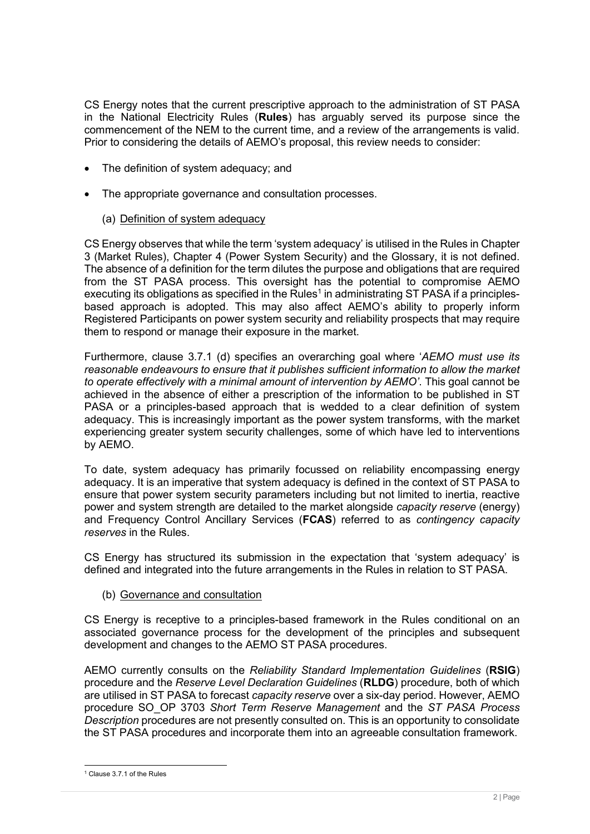CS Energy notes that the current prescriptive approach to the administration of ST PASA in the National Electricity Rules (Rules) has arguably served its purpose since the commencement of the NEM to the current time, and a review of the arrangements is valid. Prior to considering the details of AEMO's proposal, this review needs to consider:

- The definition of system adequacy; and
- The appropriate governance and consultation processes.
	- (a) Definition of system adequacy

CS Energy observes that while the term 'system adequacy' is utilised in the Rules in Chapter 3 (Market Rules), Chapter 4 (Power System Security) and the Glossary, it is not defined. The absence of a definition for the term dilutes the purpose and obligations that are required from the ST PASA process. This oversight has the potential to compromise AEMO executing its obligations as specified in the Rules<sup>1</sup> in administrating ST PASA if a principlesbased approach is adopted. This may also affect AEMO's ability to properly inform Registered Participants on power system security and reliability prospects that may require them to respond or manage their exposure in the market.

Furthermore, clause 3.7.1 (d) specifies an overarching goal where 'AEMO must use its reasonable endeavours to ensure that it publishes sufficient information to allow the market to operate effectively with a minimal amount of intervention by AEMO'. This goal cannot be achieved in the absence of either a prescription of the information to be published in ST PASA or a principles-based approach that is wedded to a clear definition of system adequacy. This is increasingly important as the power system transforms, with the market experiencing greater system security challenges, some of which have led to interventions by AEMO.

To date, system adequacy has primarily focussed on reliability encompassing energy adequacy. It is an imperative that system adequacy is defined in the context of ST PASA to ensure that power system security parameters including but not limited to inertia, reactive power and system strength are detailed to the market alongside capacity reserve (energy) and Frequency Control Ancillary Services (FCAS) referred to as contingency capacity reserves in the Rules.

CS Energy has structured its submission in the expectation that 'system adequacy' is defined and integrated into the future arrangements in the Rules in relation to ST PASA.

(b) Governance and consultation

CS Energy is receptive to a principles-based framework in the Rules conditional on an associated governance process for the development of the principles and subsequent development and changes to the AEMO ST PASA procedures.

AEMO currently consults on the Reliability Standard Implementation Guidelines (RSIG) procedure and the Reserve Level Declaration Guidelines (RLDG) procedure, both of which are utilised in ST PASA to forecast capacity reserve over a six-day period. However, AEMO procedure SO OP 3703 Short Term Reserve Management and the ST PASA Process Description procedures are not presently consulted on. This is an opportunity to consolidate the ST PASA procedures and incorporate them into an agreeable consultation framework.

<sup>1</sup> Clause 3.7.1 of the Rules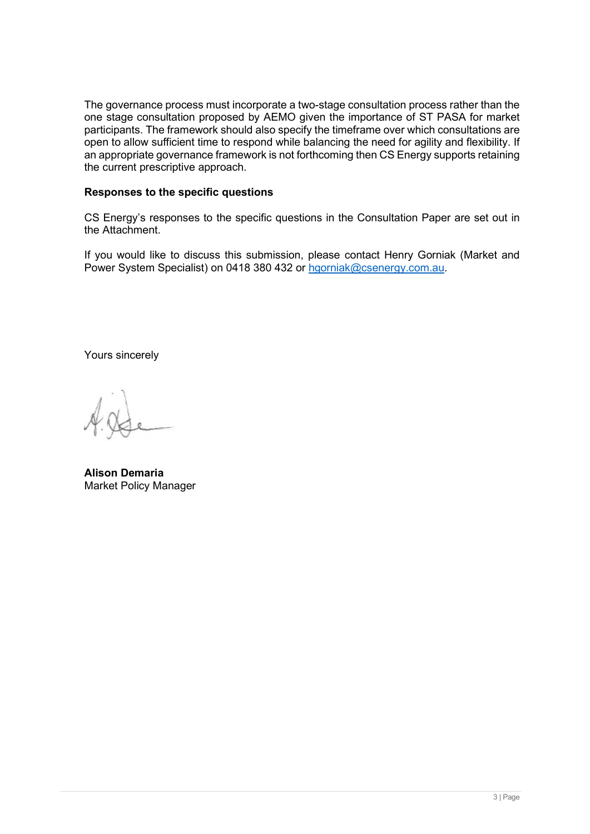The governance process must incorporate a two-stage consultation process rather than the one stage consultation proposed by AEMO given the importance of ST PASA for market participants. The framework should also specify the timeframe over which consultations are open to allow sufficient time to respond while balancing the need for agility and flexibility. If an appropriate governance framework is not forthcoming then CS Energy supports retaining the current prescriptive approach.

# Responses to the specific questions

CS Energy's responses to the specific questions in the Consultation Paper are set out in the Attachment.

If you would like to discuss this submission, please contact Henry Gorniak (Market and Power System Specialist) on 0418 380 432 or hgorniak@csenergy.com.au.

Yours sincerely

Alison Demaria Market Policy Manager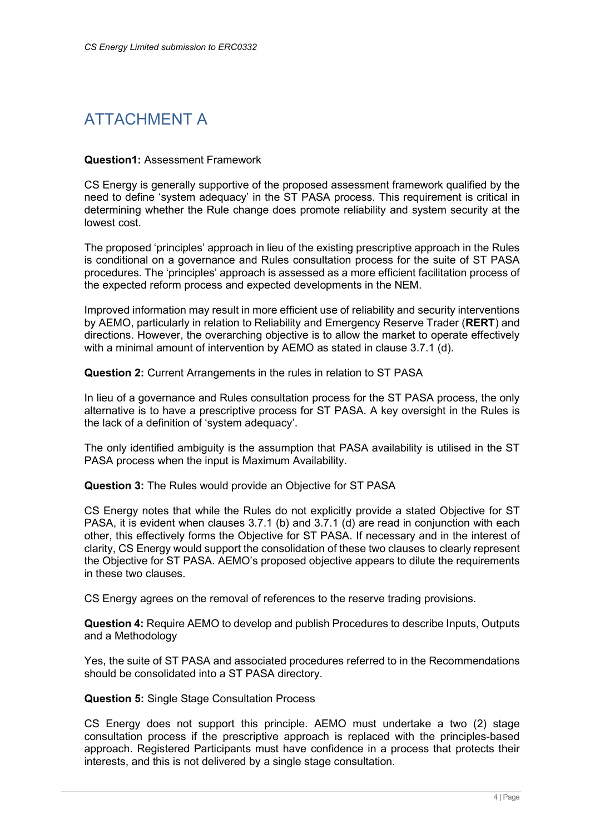# ATTACHMENT A

### Question1: Assessment Framework

CS Energy is generally supportive of the proposed assessment framework qualified by the need to define 'system adequacy' in the ST PASA process. This requirement is critical in determining whether the Rule change does promote reliability and system security at the lowest cost.

The proposed 'principles' approach in lieu of the existing prescriptive approach in the Rules is conditional on a governance and Rules consultation process for the suite of ST PASA procedures. The 'principles' approach is assessed as a more efficient facilitation process of the expected reform process and expected developments in the NEM.

Improved information may result in more efficient use of reliability and security interventions by AEMO, particularly in relation to Reliability and Emergency Reserve Trader (RERT) and directions. However, the overarching objective is to allow the market to operate effectively with a minimal amount of intervention by AEMO as stated in clause 3.7.1 (d).

Question 2: Current Arrangements in the rules in relation to ST PASA

In lieu of a governance and Rules consultation process for the ST PASA process, the only alternative is to have a prescriptive process for ST PASA. A key oversight in the Rules is the lack of a definition of 'system adequacy'.

The only identified ambiguity is the assumption that PASA availability is utilised in the ST PASA process when the input is Maximum Availability.

Question 3: The Rules would provide an Objective for ST PASA

CS Energy notes that while the Rules do not explicitly provide a stated Objective for ST PASA, it is evident when clauses 3.7.1 (b) and 3.7.1 (d) are read in conjunction with each other, this effectively forms the Objective for ST PASA. If necessary and in the interest of clarity, CS Energy would support the consolidation of these two clauses to clearly represent the Objective for ST PASA. AEMO's proposed objective appears to dilute the requirements in these two clauses.

CS Energy agrees on the removal of references to the reserve trading provisions.

Question 4: Require AEMO to develop and publish Procedures to describe Inputs, Outputs and a Methodology

Yes, the suite of ST PASA and associated procedures referred to in the Recommendations should be consolidated into a ST PASA directory.

# Question 5: Single Stage Consultation Process

CS Energy does not support this principle. AEMO must undertake a two (2) stage consultation process if the prescriptive approach is replaced with the principles-based approach. Registered Participants must have confidence in a process that protects their interests, and this is not delivered by a single stage consultation.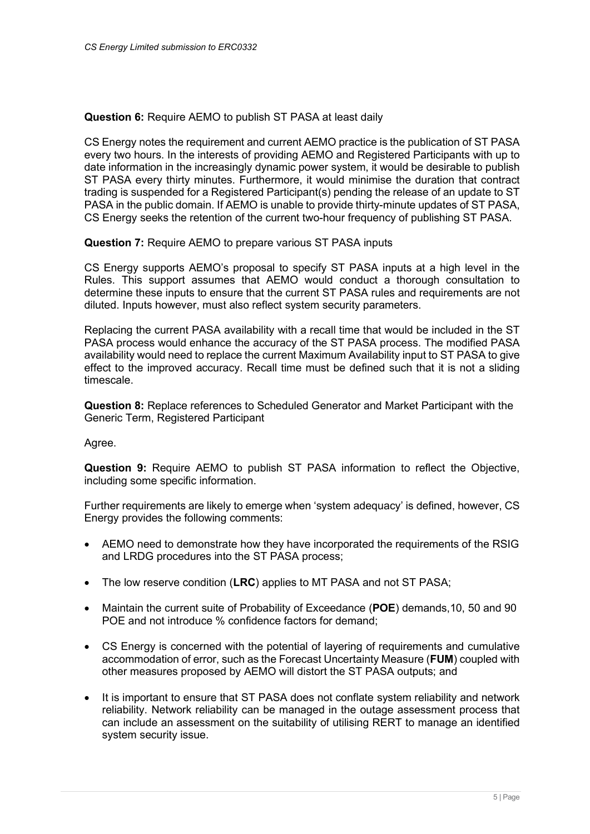Question 6: Require AEMO to publish ST PASA at least daily

CS Energy notes the requirement and current AEMO practice is the publication of ST PASA every two hours. In the interests of providing AEMO and Registered Participants with up to date information in the increasingly dynamic power system, it would be desirable to publish ST PASA every thirty minutes. Furthermore, it would minimise the duration that contract trading is suspended for a Registered Participant(s) pending the release of an update to ST PASA in the public domain. If AEMO is unable to provide thirty-minute updates of ST PASA, CS Energy seeks the retention of the current two-hour frequency of publishing ST PASA.

Question 7: Require AEMO to prepare various ST PASA inputs

CS Energy supports AEMO's proposal to specify ST PASA inputs at a high level in the Rules. This support assumes that AEMO would conduct a thorough consultation to determine these inputs to ensure that the current ST PASA rules and requirements are not diluted. Inputs however, must also reflect system security parameters.

Replacing the current PASA availability with a recall time that would be included in the ST PASA process would enhance the accuracy of the ST PASA process. The modified PASA availability would need to replace the current Maximum Availability input to ST PASA to give effect to the improved accuracy. Recall time must be defined such that it is not a sliding timescale.

Question 8: Replace references to Scheduled Generator and Market Participant with the Generic Term, Registered Participant

Agree.

Question 9: Require AEMO to publish ST PASA information to reflect the Objective, including some specific information.

Further requirements are likely to emerge when 'system adequacy' is defined, however, CS Energy provides the following comments:

- AEMO need to demonstrate how they have incorporated the requirements of the RSIG and LRDG procedures into the ST PASA process;
- The low reserve condition (LRC) applies to MT PASA and not ST PASA:
- Maintain the current suite of Probability of Exceedance (POE) demands,10, 50 and 90 POE and not introduce % confidence factors for demand;
- CS Energy is concerned with the potential of layering of requirements and cumulative accommodation of error, such as the Forecast Uncertainty Measure (FUM) coupled with other measures proposed by AEMO will distort the ST PASA outputs; and
- It is important to ensure that ST PASA does not conflate system reliability and network reliability. Network reliability can be managed in the outage assessment process that can include an assessment on the suitability of utilising RERT to manage an identified system security issue.